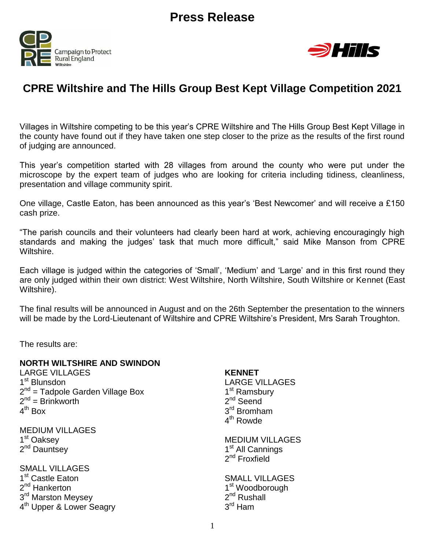



# **CPRE Wiltshire and The Hills Group Best Kept Village Competition 2021**

Villages in Wiltshire competing to be this year's CPRE Wiltshire and The Hills Group Best Kept Village in the county have found out if they have taken one step closer to the prize as the results of the first round of judging are announced.

This year's competition started with 28 villages from around the county who were put under the microscope by the expert team of judges who are looking for criteria including tidiness, cleanliness, presentation and village community spirit.

One village, Castle Eaton, has been announced as this year's 'Best Newcomer' and will receive a £150 cash prize.

"The parish councils and their volunteers had clearly been hard at work, achieving encouragingly high standards and making the judges' task that much more difficult," said Mike Manson from CPRE Wiltshire.

Each village is judged within the categories of 'Small', 'Medium' and 'Large' and in this first round they are only judged within their own district: West Wiltshire, North Wiltshire, South Wiltshire or Kennet (East Wiltshire).

The final results will be announced in August and on the 26th September the presentation to the winners will be made by the Lord-Lieutenant of Wiltshire and CPRE Wiltshire's President, Mrs Sarah Troughton.

The results are:

### **NORTH WILTSHIRE AND SWINDON**

LARGE VILLAGES 1<sup>st</sup> Blunsdon 2<sup>nd</sup> = Tadpole Garden Village Box  $2^{nd}$  = Brinkworth 4<sup>th</sup> Box

MEDIUM VILLAGES 1<sup>st</sup> Oaksey 2<sup>nd</sup> Dauntsey

SMALL VILLAGES 1<sup>st</sup> Castle Eaton 2<sup>nd</sup> Hankerton 3<sup>rd</sup> Marston Meysey 4<sup>th</sup> Upper & Lower Seagry

### **KENNET**

LARGE VILLAGES 1<sup>st</sup> Ramsbury 2<sup>nd</sup> Seend 3<sup>rd</sup> Bromham 4<sup>th</sup> Rowde

MEDIUM VILLAGES 1<sup>st</sup> All Cannings 2<sup>nd</sup> Froxfield

SMALL VILLAGES 1<sup>st</sup> Woodborough 2<sup>nd</sup> Rushall 3<sup>rd</sup> Ham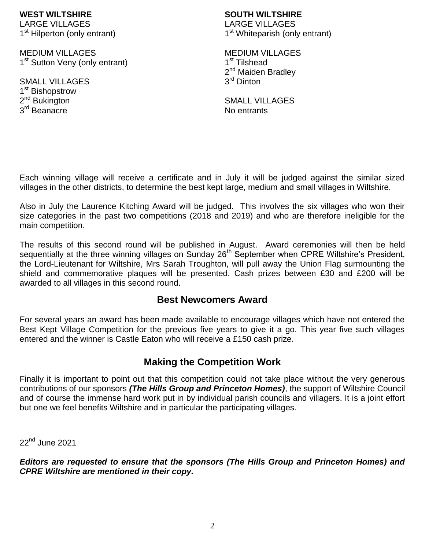#### **WEST WILTSHIRE** LARGE VILLAGES

1<sup>st</sup> Hilperton (only entrant)

MEDIUM VILLAGES 1<sup>st</sup> Sutton Veny (only entrant)

SMALL VILLAGES 1<sup>st</sup> Bishopstrow 2<sup>nd</sup> Bukington 3<sup>rd</sup> Beanacre

# **SOUTH WILTSHIRE**

LARGE VILLAGES 1<sup>st</sup> Whiteparish (only entrant)

MEDIUM VILLAGES 1<sup>st</sup> Tilshead 2<sup>nd</sup> Maiden Bradley 3<sup>rd</sup> Dinton

SMALL VILLAGES No entrants

Each winning village will receive a certificate and in July it will be judged against the similar sized villages in the other districts, to determine the best kept large, medium and small villages in Wiltshire.

Also in July the Laurence Kitching Award will be judged. This involves the six villages who won their size categories in the past two competitions (2018 and 2019) and who are therefore ineligible for the main competition.

The results of this second round will be published in August. Award ceremonies will then be held sequentially at the three winning villages on Sunday 26<sup>th</sup> September when CPRE Wiltshire's President, the Lord-Lieutenant for Wiltshire, Mrs Sarah Troughton, will pull away the Union Flag surmounting the shield and commemorative plaques will be presented. Cash prizes between £30 and £200 will be awarded to all villages in this second round.

## **Best Newcomers Award**

For several years an award has been made available to encourage villages which have not entered the Best Kept Village Competition for the previous five years to give it a go. This year five such villages entered and the winner is Castle Eaton who will receive a £150 cash prize.

## **Making the Competition Work**

Finally it is important to point out that this competition could not take place without the very generous contributions of our sponsors *(The Hills Group and Princeton Homes)*, the support of Wiltshire Council and of course the immense hard work put in by individual parish councils and villagers. It is a joint effort but one we feel benefits Wiltshire and in particular the participating villages.

22<sup>nd</sup> June 2021

*Editors are requested to ensure that the sponsors (The Hills Group and Princeton Homes) and CPRE Wiltshire are mentioned in their copy.*